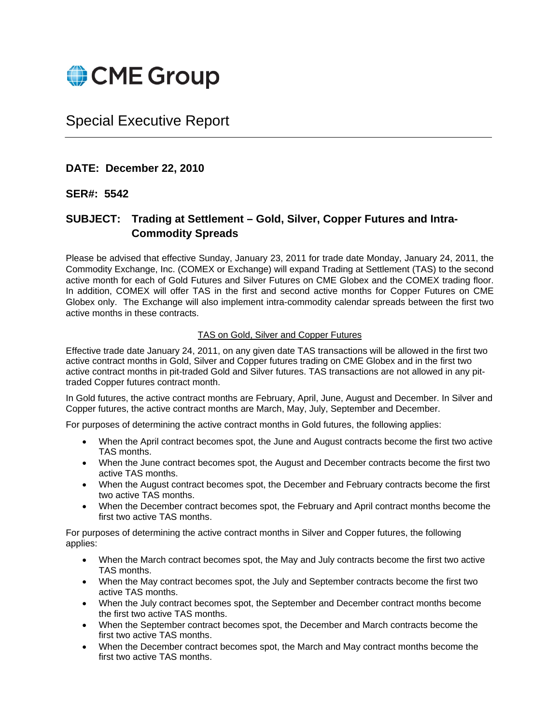

# Special Executive Report

## **DATE: December 22, 2010**

### **SER#: 5542**

# **SUBJECT: Trading at Settlement – Gold, Silver, Copper Futures and Intra-Commodity Spreads**

Please be advised that effective Sunday, January 23, 2011 for trade date Monday, January 24, 2011, the Commodity Exchange, Inc. (COMEX or Exchange) will expand Trading at Settlement (TAS) to the second active month for each of Gold Futures and Silver Futures on CME Globex and the COMEX trading floor. In addition, COMEX will offer TAS in the first and second active months for Copper Futures on CME Globex only. The Exchange will also implement intra-commodity calendar spreads between the first two active months in these contracts.

#### TAS on Gold, Silver and Copper Futures

Effective trade date January 24, 2011, on any given date TAS transactions will be allowed in the first two active contract months in Gold, Silver and Copper futures trading on CME Globex and in the first two active contract months in pit-traded Gold and Silver futures. TAS transactions are not allowed in any pittraded Copper futures contract month.

In Gold futures, the active contract months are February, April, June, August and December. In Silver and Copper futures, the active contract months are March, May, July, September and December.

For purposes of determining the active contract months in Gold futures, the following applies:

- When the April contract becomes spot, the June and August contracts become the first two active TAS months.
- When the June contract becomes spot, the August and December contracts become the first two active TAS months.
- When the August contract becomes spot, the December and February contracts become the first two active TAS months.
- When the December contract becomes spot, the February and April contract months become the first two active TAS months.

For purposes of determining the active contract months in Silver and Copper futures, the following applies:

- When the March contract becomes spot, the May and July contracts become the first two active TAS months.
- When the May contract becomes spot, the July and September contracts become the first two active TAS months.
- When the July contract becomes spot, the September and December contract months become the first two active TAS months.
- When the September contract becomes spot, the December and March contracts become the first two active TAS months.
- When the December contract becomes spot, the March and May contract months become the first two active TAS months.